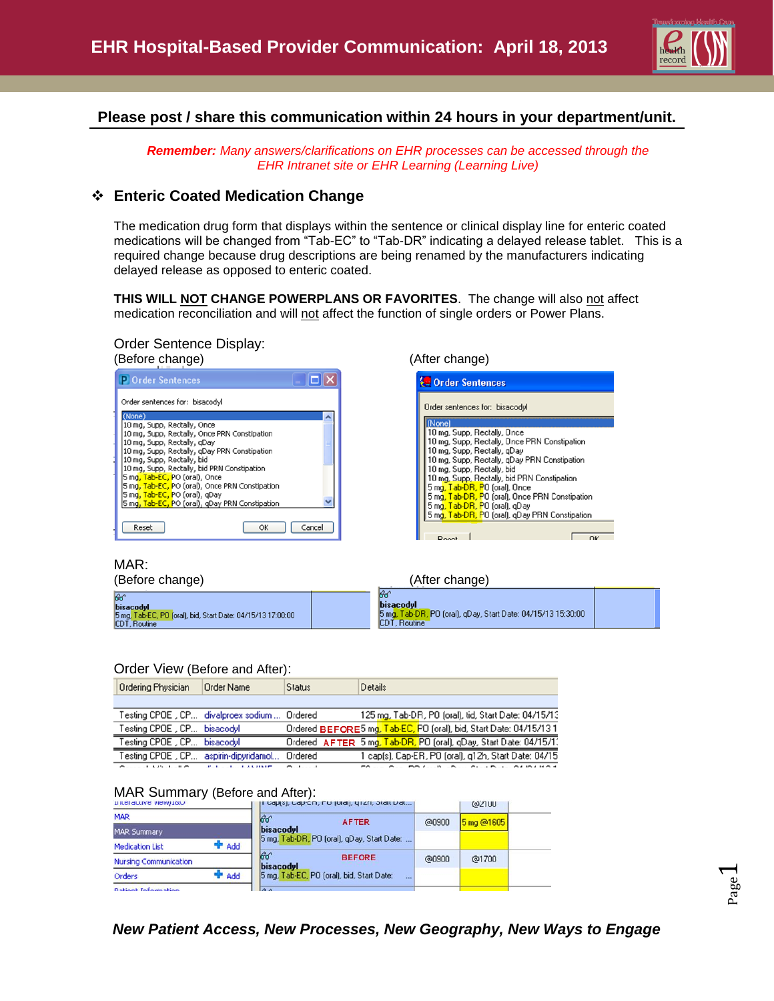

## **Please post / share this communication within 24 hours in your department/unit.**

*Remember: Many answers/clarifications on EHR processes can be accessed through the EHR Intranet site or EHR Learning (Learning Live)*

### **Enteric Coated Medication Change**

The medication drug form that displays within the sentence or clinical display line for enteric coated medications will be changed from "Tab-EC" to "Tab-DR" indicating a delayed release tablet. This is a required change because drug descriptions are being renamed by the manufacturers indicating delayed release as opposed to enteric coated.

THIS WILL **NOT CHANGE POWERPLANS OR FAVORITES**. The change will also not affect medication reconciliation and will not affect the function of single orders or Power Plans.

# Order Sentence Display:



| <b>Conder Sentences</b>                                                         |
|---------------------------------------------------------------------------------|
| Order sentences for: bisacodyl                                                  |
| Nonel                                                                           |
| 10 mg, Supp, Rectally, Once                                                     |
| 10 mg, Supp, Rectally, Once PRN Constipation                                    |
| 10 mg, Supp, Rectally, gDay                                                     |
| 10 mg, Supp, Rectally, gDay PRN Constipation                                    |
| 10 mg, Supp, Rectally, bid                                                      |
| 10 mg, Supp, Rectally, bid PRN Constipation                                     |
| 5 mg, Tab-DR, PO (oral), Once                                                   |
| 5 mg, Tab-DR, PO (oral), Once PRN Constipation                                  |
| 5 mg, Tab-DR, PO (oral), qDay<br>5 mg, Tab-DR, PO (oral), qDay PRN Constipation |
|                                                                                 |
|                                                                                 |
| $\sim$<br>. .                                                                   |

MAR:

(Before change) (After change)

| ଙ୍କ<br>bisacodyl<br>5 mg, Tab-EC, PO (oral), bid, Start Date: 04/15/13 17:00:00<br>CDT, Routine |  | lвó<br>bisacodyl<br>5 mg, Tab-DR, PO (oral), gDay, Start Date: 04/15/13 15:30:00<br>CDT, Routine |  |  |
|-------------------------------------------------------------------------------------------------|--|--------------------------------------------------------------------------------------------------|--|--|

#### Order View (Before and After):

|  | <b>Ordering Physician</b>                                                                                                                                                                                                         | Order Name | <b>Status</b> | Details                                                                                                                                                                                                                                                                                                                                                                                                                                                                                |  |  |  |  |
|--|-----------------------------------------------------------------------------------------------------------------------------------------------------------------------------------------------------------------------------------|------------|---------------|----------------------------------------------------------------------------------------------------------------------------------------------------------------------------------------------------------------------------------------------------------------------------------------------------------------------------------------------------------------------------------------------------------------------------------------------------------------------------------------|--|--|--|--|
|  |                                                                                                                                                                                                                                   |            |               |                                                                                                                                                                                                                                                                                                                                                                                                                                                                                        |  |  |  |  |
|  | Testing CPOE , CP divalproex sodium  Ordered                                                                                                                                                                                      |            |               | 125 mg, Tab-DR, PO (oral), tid, Start Date: 04/15/13                                                                                                                                                                                                                                                                                                                                                                                                                                   |  |  |  |  |
|  | Testing CPOE , CP bisacodyl                                                                                                                                                                                                       |            |               | Ordered BEFORE5 mg, Tab-EC, PO (oral), bid, Start Date: 04/15/131                                                                                                                                                                                                                                                                                                                                                                                                                      |  |  |  |  |
|  | Testing CPOE , CP bisacodyl                                                                                                                                                                                                       |            |               | Ordered AFTER 5 mg, Tab-DR, PO (oral), gDay, Start Date: 04/15/1.                                                                                                                                                                                                                                                                                                                                                                                                                      |  |  |  |  |
|  | Testing CPOE , CP aspirin-dipyridamol                                                                                                                                                                                             |            | Ordered       | 1 cap(s), Cap-ER, PO (oral), q12h, Start Date: 04/15                                                                                                                                                                                                                                                                                                                                                                                                                                   |  |  |  |  |
|  | $\sigma$ . I was the state of the state that the state of the state of the state of the state of the state of the state of the state of the state of the state of the state of the state of the state of the state of the state o |            |               | $\mathcal{L} \cap \mathcal{L} \cap \mathcal{L} \cap \mathcal{L} \cap \mathcal{L} \cap \mathcal{L} \cap \mathcal{L} \cap \mathcal{L} \cap \mathcal{L} \cap \mathcal{L} \cap \mathcal{L} \cap \mathcal{L} \cap \mathcal{L} \cap \mathcal{L} \cap \mathcal{L} \cap \mathcal{L} \cap \mathcal{L} \cap \mathcal{L} \cap \mathcal{L} \cap \mathcal{L} \cap \mathcal{L} \cap \mathcal{L} \cap \mathcal{L} \cap \mathcal{L} \cap \mathcal{L} \cap \mathcal{L} \cap \mathcal{L} \cap \mathcal{$ |  |  |  |  |

#### MAR Summary (Before and After):

| THICK GLASS ARMAINS    |              | ii capisi, capich, no joiail, grzn, otalt pat           |       | @2100      |  |
|------------------------|--------------|---------------------------------------------------------|-------|------------|--|
| <b>MAR</b>             |              | ଚିර'<br><b>AFTER</b>                                    | @0900 | 5 mg @1605 |  |
| <b>MAR Summary</b>     |              | bisacodyl<br>5 mg, Tab-DR, PO (oral), gDay, Start Date: |       |            |  |
| <b>Medication List</b> | <b>P</b> Add |                                                         |       |            |  |
| Nursing Communication  |              | ୫୯<br><b>BEFORE</b><br>bisacodul                        | @0900 | @1700      |  |
| Orders                 | <b>P</b> Add | 5 mg, Tab-EC, PO (oral), bid, Start Date:<br>$\sim$     |       |            |  |
| Dationt Information    |              | $\Lambda$                                               |       |            |  |